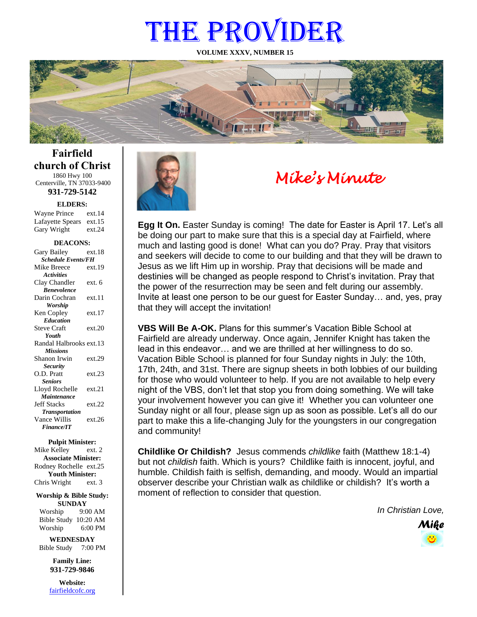# THE PROVIDER

**VOLUME XXXV, NUMBER 15**



**Fairfield church of Christ** 1860 Hwy 100 Centerville, TN 37033-9400

**931-729-5142**

**ELDERS:**

| Wayne Prince            | ext.14 |
|-------------------------|--------|
| Lafayette Spears ext.15 |        |
| Gary Wright             | ext.24 |

#### **DEACONS:**

| Gary Bailey               | ext.18 |  |
|---------------------------|--------|--|
| <b>Schedule Events/FH</b> |        |  |
| Mike Breece               | ext.19 |  |
| <b>Activities</b>         |        |  |
| Clay Chandler             | ext. 6 |  |
| <b>Benevolence</b>        |        |  |
| Darin Cochran             | ext.11 |  |
| <b>Worship</b>            |        |  |
| Ken Copley                | ext 17 |  |
| <b>Education</b>          |        |  |
| <b>Steve Craft</b>        | ext.20 |  |
| Youth                     |        |  |
| Randal Halbrooks ext.13   |        |  |
| <b>Missions</b>           |        |  |
| Shanon Irwin              | ext.29 |  |
| <b>Security</b>           |        |  |
| O.D. Pratt                | ext.23 |  |
| <b>Seniors</b>            |        |  |
| Lloyd Rochelle            | ext.21 |  |
| Maintenance               |        |  |
| <b>Jeff Stacks</b>        | ext.22 |  |
| <b>Transportation</b>     |        |  |
| Vance Willis              | ext.26 |  |
| <b>Finance/IT</b>         |        |  |

#### **Pulpit Minister:**

Mike Kelley ext. 2 **Associate Minister:** Rodney Rochelle ext.25 **Youth Minister:** Chris Wright ext. 3

#### **Worship & Bible Study: SUNDAY**

Worship 9:00 AM Bible Study 10:20 AM Worship 6:00 PM

**WEDNESDAY** Bible Study 7:00 PM

> **Family Line: 931-729-9846**

**Website:** [fairfieldcofc.org](file:///C:/Users/RickJoyce/Documents/Fairfield%20Website%20Files/fairfieldchurchofchrist.org)



### *Mike's Minute*

**Egg It On.** Easter Sunday is coming! The date for Easter is April 17. Let's all be doing our part to make sure that this is a special day at Fairfield, where much and lasting good is done! What can you do? Pray. Pray that visitors and seekers will decide to come to our building and that they will be drawn to Jesus as we lift Him up in worship. Pray that decisions will be made and destinies will be changed as people respond to Christ's invitation. Pray that the power of the resurrection may be seen and felt during our assembly. Invite at least one person to be our guest for Easter Sunday… and, yes, pray that they will accept the invitation!

**VBS Will Be A-OK.** Plans for this summer's Vacation Bible School at Fairfield are already underway. Once again, Jennifer Knight has taken the lead in this endeavor… and we are thrilled at her willingness to do so. Vacation Bible School is planned for four Sunday nights in July: the 10th, 17th, 24th, and 31st. There are signup sheets in both lobbies of our building for those who would volunteer to help. If you are not available to help every night of the VBS, don't let that stop you from doing something. We will take your involvement however you can give it! Whether you can volunteer one Sunday night or all four, please sign up as soon as possible. Let's all do our part to make this a life-changing July for the youngsters in our congregation and community!

**Childlike Or Childish?** Jesus commends *childlike* faith (Matthew 18:1-4) but not *childish* faith. Which is yours? Childlike faith is innocent, joyful, and humble. Childish faith is selfish, demanding, and moody. Would an impartial observer describe your Christian walk as childlike or childish? It's worth a moment of reflection to consider that question.

*In Christian Love,*

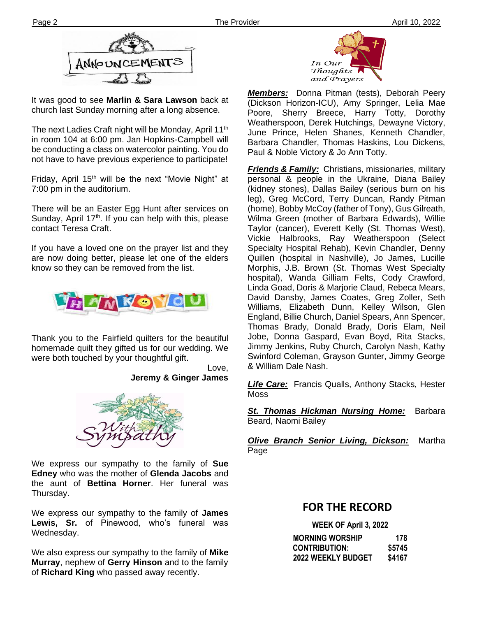

It was good to see **Marlin & Sara Lawson** back at church last Sunday morning after a long absence.

**Ther** not have to have previous experience to participate! The next Ladies Craft night will be Monday, April 11<sup>th</sup> in room 104 at 6:00 pm. Jan Hopkins-Campbell will be conducting a class on watercolor painting. You do

Friday, April 15<sup>th</sup> will be the next "Movie Night" at 7:00 pm in the auditorium.

There will be an Easter Egg Hunt after services on Sunday, April  $17<sup>th</sup>$ . If you can help with this, please contact Teresa Craft.

If you have a loved one on the prayer list and they are now doing better, please let one of the elders know so they can be removed from the list.



Thank you to the Fairfield quilters for the beautiful homemade quilt they gifted us for our wedding. We were both touched by your thoughtful gift.

> Love, **Jeremy & Ginger James**



We express our sympathy to the family of **Sue Edney** who was the mother of **Glenda Jacobs** and the aunt of **Bettina Horner**. Her funeral was Thursday.

We express our sympathy to the family of **James Lewis, Sr.** of Pinewood, who's funeral was Wednesday.

We also express our sympathy to the family of **Mike Murray**, nephew of **Gerry Hinson** and to the family of **Richard King** who passed away recently.



*Members:* Donna Pitman (tests), Deborah Peery (Dickson Horizon-ICU), Amy Springer, Lelia Mae Poore, Sherry Breece, Harry Totty, Dorothy Weatherspoon, Derek Hutchings, Dewayne Victory, June Prince, Helen Shanes, Kenneth Chandler, Barbara Chandler, Thomas Haskins, Lou Dickens, Paul & Noble Victory & Jo Ann Totty.

*Friends & Family:* Christians, missionaries, military personal & people in the Ukraine, Diana Bailey (kidney stones), Dallas Bailey (serious burn on his leg), Greg McCord, Terry Duncan, Randy Pitman (home), Bobby McCoy (father of Tony), Gus Gilreath, Wilma Green (mother of Barbara Edwards), Willie Taylor (cancer), Everett Kelly (St. Thomas West), Vickie Halbrooks, Ray Weatherspoon (Select Specialty Hospital Rehab), Kevin Chandler, Denny Quillen (hospital in Nashville), Jo James, Lucille Morphis, J.B. Brown (St. Thomas West Specialty hospital), Wanda Gilliam Felts, Cody Crawford, Linda Goad, Doris & Marjorie Claud, Rebeca Mears, David Dansby, James Coates, Greg Zoller, Seth Williams, Elizabeth Dunn, Kelley Wilson, Glen England, Billie Church, Daniel Spears, Ann Spencer, Thomas Brady, Donald Brady, Doris Elam, Neil Jobe, Donna Gaspard, Evan Boyd, Rita Stacks, Jimmy Jenkins, Ruby Church, Carolyn Nash, Kathy Swinford Coleman, Grayson Gunter, Jimmy George & William Dale Nash.

*Life Care:* Francis Qualls, Anthony Stacks, Hester Moss

*St. Thomas Hickman Nursing Home:* Barbara Beard, Naomi Bailey

*Olive Branch Senior Living, Dickson:* Martha Page

#### **FOR THE RECORD**

 **WEEK OF April 3, 2022**

| <b>MORNING WORSHIP</b> | 178    |
|------------------------|--------|
| <b>CONTRIBUTION:</b>   | \$5745 |
| 2022 WEEKLY BUDGET     | \$4167 |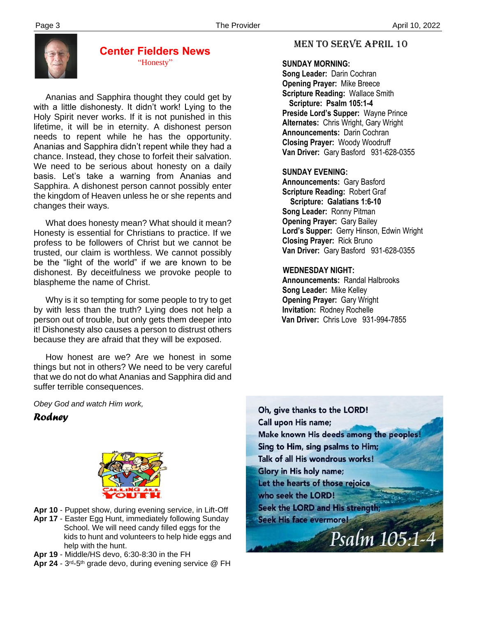

#### **Center Fielders News** "Honesty"

 Ananias and Sapphira thought they could get by with a little dishonesty. It didn't work! Lying to the Holy Spirit never works. If it is not punished in this lifetime, it will be in eternity. A dishonest person needs to repent while he has the opportunity. Ananias and Sapphira didn't repent while they had a chance. Instead, they chose to forfeit their salvation. We need to be serious about honesty on a daily basis. Let's take a warning from Ananias and Sapphira. A dishonest person cannot possibly enter the kingdom of Heaven unless he or she repents and changes their ways.

 What does honesty mean? What should it mean? Honesty is essential for Christians to practice. If we profess to be followers of Christ but we cannot be trusted, our claim is worthless. We cannot possibly be the "light of the world" if we are known to be dishonest. By deceitfulness we provoke people to blaspheme the name of Christ.

 Why is it so tempting for some people to try to get by with less than the truth? Lying does not help a person out of trouble, but only gets them deeper into it! Dishonesty also causes a person to distrust others because they are afraid that they will be exposed.

 How honest are we? Are we honest in some things but not in others? We need to be very careful that we do not do what Ananias and Sapphira did and suffer terrible consequences.

#### MEN TO SERVE April 10

#### **SUNDAY MORNING:**

**Song Leader:** Darin Cochran  **Opening Prayer:** Mike Breece **Scripture Reading:** Wallace Smith  **Scripture: Psalm 105:1-4 Preside Lord's Supper:** Wayne Prince  **Alternates:** Chris Wright, Gary Wright  **Announcements:** Darin Cochran  **Closing Prayer:** Woody Woodruff **Van Driver:** Gary Basford 931-628-0355

#### **SUNDAY EVENING:**

**Announcements:** Gary Basford **Scripture Reading:** Robert Graf  **Scripture: Galatians 1:6-10 Song Leader:** Ronny Pitman **Opening Prayer:** Gary Bailey **Lord's Supper:** Gerry Hinson, Edwin Wright **Closing Prayer:** Rick Bruno **Van Driver:** Gary Basford 931-628-0355

#### **WEDNESDAY NIGHT:**

**Announcements:** Randal Halbrooks **Song Leader:** Mike Kelley **Opening Prayer:** Gary Wright **Invitation:** Rodney Rochelle  **Van Driver:** Chris Love 931-994-7855

*Obey God and watch Him work,*

#### *Rodney*



- **Apr 10** Puppet show, during evening service, in Lift-Off
- **Apr 17** Easter Egg Hunt, immediately following Sunday School. We will need candy filled eggs for the kids to hunt and volunteers to help hide eggs and help with the hunt.
- **Apr 19**  Middle/HS devo, 6:30-8:30 in the FH
- Apr 24 3<sup>rd</sup>-5<sup>th</sup> grade devo, during evening service @ FH